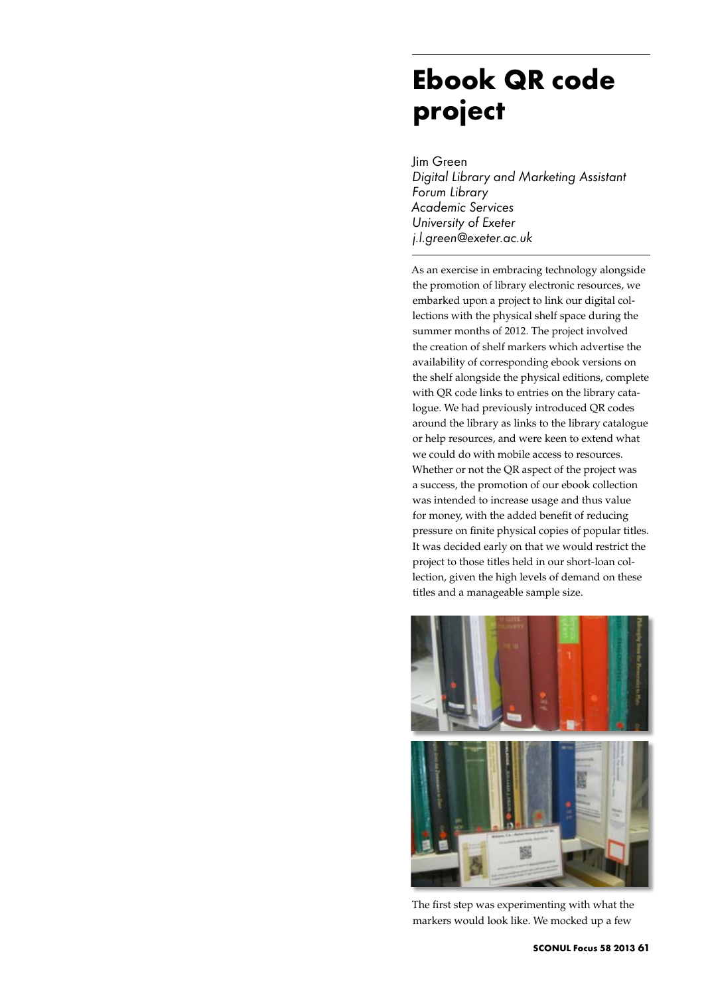## **Ebook QR code project**

Jim Green *Digital Library and Marketing Assistant Forum Library Academic Services University of Exeter j.l.green@exeter.ac.uk*

As an exercise in embracing technology alongside the promotion of library electronic resources, we embarked upon a project to link our digital collections with the physical shelf space during the summer months of 2012. The project involved the creation of shelf markers which advertise the availability of corresponding ebook versions on the shelf alongside the physical editions, complete with QR code links to entries on the library catalogue. We had previously introduced QR codes around the library as links to the library catalogue or help resources, and were keen to extend what we could do with mobile access to resources. Whether or not the QR aspect of the project was a success, the promotion of our ebook collection was intended to increase usage and thus value for money, with the added benefit of reducing pressure on finite physical copies of popular titles. It was decided early on that we would restrict the project to those titles held in our short-loan collection, given the high levels of demand on these titles and a manageable sample size.



The first step was experimenting with what the markers would look like. We mocked up a few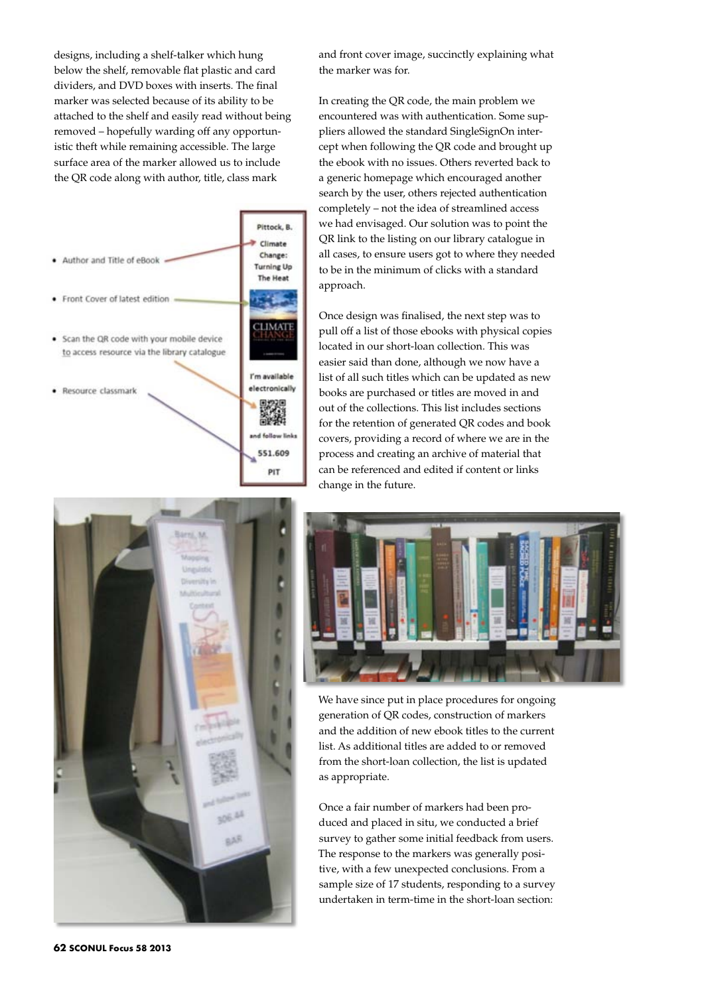designs, including a shelf-talker which hung below the shelf, removable flat plastic and card dividers, and DVD boxes with inserts. The final marker was selected because of its ability to be attached to the shelf and easily read without being removed – hopefully warding off any opportunistic theft while remaining accessible. The large surface area of the marker allowed us to include the QR code along with author, title, class mark





and front cover image, succinctly explaining what the marker was for.

In creating the QR code, the main problem we encountered was with authentication. Some suppliers allowed the standard SingleSignOn intercept when following the QR code and brought up the ebook with no issues. Others reverted back to a generic homepage which encouraged another search by the user, others rejected authentication completely – not the idea of streamlined access we had envisaged. Our solution was to point the QR link to the listing on our library catalogue in all cases, to ensure users got to where they needed to be in the minimum of clicks with a standard approach.

Once design was finalised, the next step was to pull off a list of those ebooks with physical copies located in our short-loan collection. This was easier said than done, although we now have a list of all such titles which can be updated as new books are purchased or titles are moved in and out of the collections. This list includes sections for the retention of generated QR codes and book covers, providing a record of where we are in the process and creating an archive of material that can be referenced and edited if content or links change in the future.



We have since put in place procedures for ongoing generation of QR codes, construction of markers and the addition of new ebook titles to the current list. As additional titles are added to or removed from the short-loan collection, the list is updated as appropriate.

Once a fair number of markers had been produced and placed in situ, we conducted a brief survey to gather some initial feedback from users. The response to the markers was generally positive, with a few unexpected conclusions. From a sample size of 17 students, responding to a survey undertaken in term-time in the short-loan section: